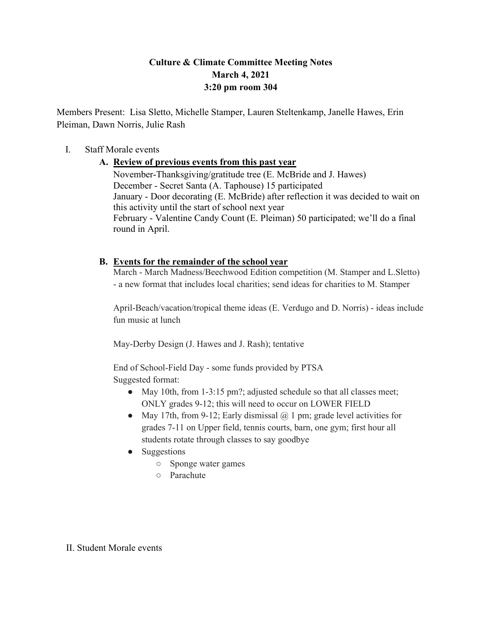# **Culture & Climate Committee Meeting Notes March 4, 2021 3:20 pm room 304**

Members Present: Lisa Sletto, Michelle Stamper, Lauren Steltenkamp, Janelle Hawes, Erin Pleiman, Dawn Norris, Julie Rash

### I. Staff Morale events

## **A. Review of previous events from this past year**

November-Thanksgiving/gratitude tree (E. McBride and J. Hawes) December - Secret Santa (A. Taphouse) 15 participated January - Door decorating (E. McBride) after reflection it was decided to wait on this activity until the start of school next year February - Valentine Candy Count (E. Pleiman) 50 participated; we'll do a final round in April.

## **B. Events for the remainder of the school year**

March - March Madness/Beechwood Edition competition (M. Stamper and L.Sletto) - a new format that includes local charities; send ideas for charities to M. Stamper

April-Beach/vacation/tropical theme ideas (E. Verdugo and D. Norris) - ideas include fun music at lunch

May-Derby Design (J. Hawes and J. Rash); tentative

End of School-Field Day - some funds provided by PTSA Suggested format:

- May 10th, from 1-3:15 pm?; adjusted schedule so that all classes meet; ONLY grades 9-12; this will need to occur on LOWER FIELD
- May 17th, from 9-12; Early dismissal  $\omega$  1 pm; grade level activities for grades 7-11 on Upper field, tennis courts, barn, one gym; first hour all students rotate through classes to say goodbye
- Suggestions
	- Sponge water games
	- Parachute

### II. Student Morale events